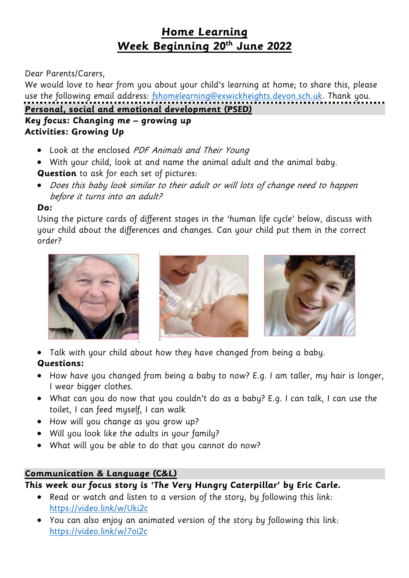# **Home Learning Week Beginning 20th June 2022**

## Dear Parents/Carers,

We would love to hear from you about your child's learning at home; to share this, please use the following email address: [fshomelearning@exwickheights.devon.sch.uk.](mailto:fshomelearning@exwickheights.devon.sch.uk) Thank you. **Personal, social and emotional development (PSED)**

## **Key focus: Changing me – growing up Activities: Growing Up**

- Look at the enclosed PDF Animals and Their Young
- With your child, look at and name the animal adult and the animal baby.

# **Question** to ask for each set of pictures:

• Does this baby look similar to their adult or will lots of change need to happen before it turns into an adult?

# **Do:**

Using the picture cards of different stages in the 'human life cycle' below, discuss with your child about the differences and changes. Can your child put them in the correct order?







Talk with your child about how they have changed from being a baby.

# **Questions:**

- How have you changed from being a baby to now? E.g. I am taller, my hair is longer, I wear bigger clothes.
- What can you do now that you couldn't do as a baby? E.g. I can talk, I can use the toilet, I can feed myself, I can walk
- How will you change as you grow up?
- Will you look like the adults in your family?
- What will you be able to do that you cannot do now?

# **Communication & Language (C&L)**

# **This week our focus story is 'The Very Hungry Caterpillar' by Eric Carle.**

- Read or watch and listen to a version of the story, by following this link: <https://video.link/w/Uki2c>
- You can also enjoy an animated version of the story by following this link: <https://video.link/w/7oi2c>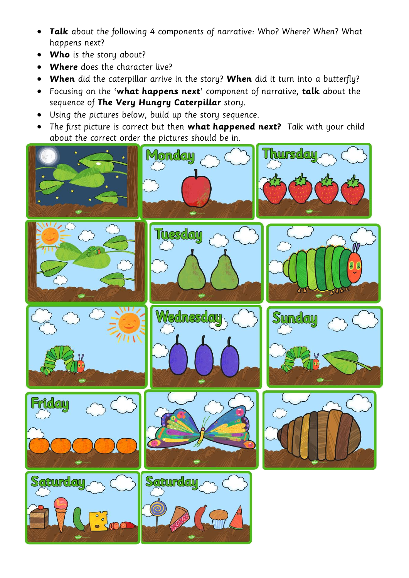- **Talk** about the following 4 components of narrative: Who? Where? When? What happens next?
- **Who** is the story about?
- **Where** does the character live?
- **When** did the caterpillar arrive in the story? **When** did it turn into a butterfly?
- Focusing on the '**what happens next**' component of narrative, **talk** about the sequence of **The Very Hungry Caterpillar** story.
- Using the pictures below, build up the story sequence.
- The first picture is correct but then **what happened next?** Talk with your child about the correct order the pictures should be in.

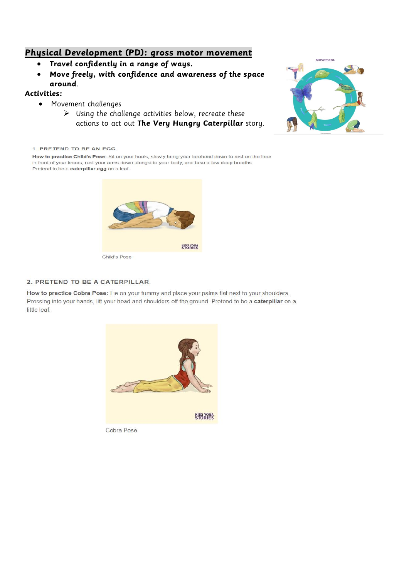### **Physical Development (PD): gross motor movement**

- **Travel confidently in a range of ways.**
- **Move freely, with confidence and awareness of the space around**.

### **Activities:**

- Movement challenges
	- $\triangleright$  Using the challenge activities below, recreate these actions to act out **The Very Hungry Caterpillar** story.



1. PRETEND TO BE AN EGG.

How to practice Child's Pose: Sit on your heels, slowly bring your forehead down to rest on the floor in front of your knees, rest your arms down alongside your body, and take a few deep breaths. Pretend to be a caterpillar egg on a leaf.



### 2. PRETEND TO BE A CATERPILLAR.

How to practice Cobra Pose: Lie on your tummy and place your palms flat next to your shoulders. Pressing into your hands, lift your head and shoulders off the ground. Pretend to be a caterpillar on a little leaf.



Cobra Pose